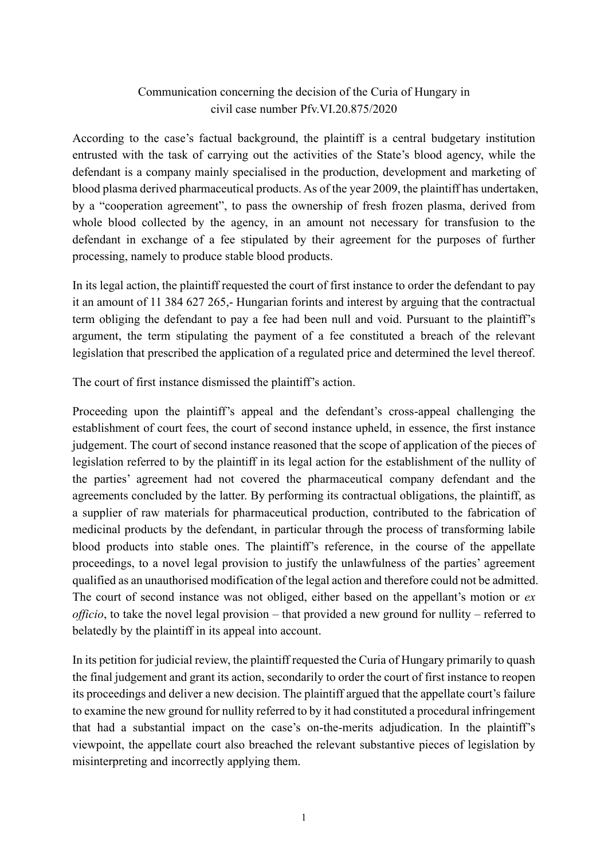## Communication concerning the decision of the Curia of Hungary in civil case number Pfv.VI.20.875/2020

According to the case's factual background, the plaintiff is a central budgetary institution entrusted with the task of carrying out the activities of the State's blood agency, while the defendant is a company mainly specialised in the production, development and marketing of blood plasma derived pharmaceutical products. As of the year 2009, the plaintiff has undertaken, by a "cooperation agreement", to pass the ownership of fresh frozen plasma, derived from whole blood collected by the agency, in an amount not necessary for transfusion to the defendant in exchange of a fee stipulated by their agreement for the purposes of further processing, namely to produce stable blood products.

In its legal action, the plaintiff requested the court of first instance to order the defendant to pay it an amount of 11 384 627 265,- Hungarian forints and interest by arguing that the contractual term obliging the defendant to pay a fee had been null and void. Pursuant to the plaintiff's argument, the term stipulating the payment of a fee constituted a breach of the relevant legislation that prescribed the application of a regulated price and determined the level thereof.

The court of first instance dismissed the plaintiff's action.

Proceeding upon the plaintiff's appeal and the defendant's cross-appeal challenging the establishment of court fees, the court of second instance upheld, in essence, the first instance judgement. The court of second instance reasoned that the scope of application of the pieces of legislation referred to by the plaintiff in its legal action for the establishment of the nullity of the parties' agreement had not covered the pharmaceutical company defendant and the agreements concluded by the latter. By performing its contractual obligations, the plaintiff, as a supplier of raw materials for pharmaceutical production, contributed to the fabrication of medicinal products by the defendant, in particular through the process of transforming labile blood products into stable ones. The plaintiff's reference, in the course of the appellate proceedings, to a novel legal provision to justify the unlawfulness of the parties' agreement qualified as an unauthorised modification of the legal action and therefore could not be admitted. The court of second instance was not obliged, either based on the appellant's motion or *ex officio*, to take the novel legal provision – that provided a new ground for nullity – referred to belatedly by the plaintiff in its appeal into account.

In its petition for judicial review, the plaintiff requested the Curia of Hungary primarily to quash the final judgement and grant its action, secondarily to order the court of first instance to reopen its proceedings and deliver a new decision. The plaintiff argued that the appellate court's failure to examine the new ground for nullity referred to by it had constituted a procedural infringement that had a substantial impact on the case's on-the-merits adjudication. In the plaintiff's viewpoint, the appellate court also breached the relevant substantive pieces of legislation by misinterpreting and incorrectly applying them.